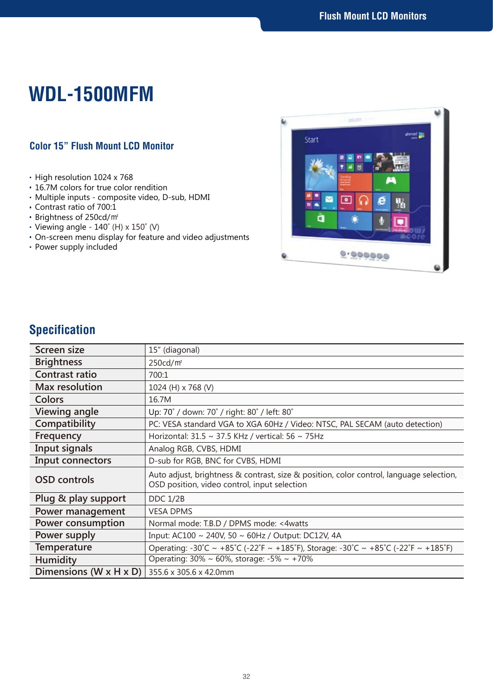# **WDL-1500MFM**

#### **Color 15" Flush Mount LCD Monitor**

- High resolution 1024 x 768
- 16.7M colors for true color rendition
- Multiple inputs composite video, D-sub, HDMI
- Contrast ratio of 700:1
- Brightness of 250cd/㎡
- Viewing angle 140˚ (H) x 150˚ (V)
- On-screen menu display for feature and video adjustments
- Power supply included



## **Specification**

| Screen size                                          | 15" (diagonal)                                                                                                                          |
|------------------------------------------------------|-----------------------------------------------------------------------------------------------------------------------------------------|
| <b>Brightness</b>                                    | 250cd/m <sup>2</sup>                                                                                                                    |
| Contrast ratio                                       | 700:1                                                                                                                                   |
| <b>Max resolution</b>                                | 1024 (H) x 768 (V)                                                                                                                      |
| Colors                                               | 16.7M                                                                                                                                   |
| <b>Viewing angle</b>                                 | Up: 70° / down: 70° / right: 80° / left: 80°                                                                                            |
| Compatibility                                        | PC: VESA standard VGA to XGA 60Hz / Video: NTSC, PAL SECAM (auto detection)                                                             |
| Frequency                                            | Horizontal: 31.5 ~ 37.5 KHz / vertical: 56 ~ 75Hz                                                                                       |
| Input signals                                        | Analog RGB, CVBS, HDMI                                                                                                                  |
| Input connectors                                     | D-sub for RGB, BNC for CVBS, HDMI                                                                                                       |
| <b>OSD</b> controls                                  | Auto adjust, brightness & contrast, size & position, color control, language selection,<br>OSD position, video control, input selection |
| Plug & play support                                  | <b>DDC 1/2B</b>                                                                                                                         |
| Power management                                     | <b>VESA DPMS</b>                                                                                                                        |
| <b>Power consumption</b>                             | Normal mode: T.B.D / DPMS mode: <4watts                                                                                                 |
| Power supply                                         | Input: AC100 ~ 240V, 50 ~ 60Hz / Output: DC12V, 4A                                                                                      |
| <b>Temperature</b>                                   | Operating: -30°C ~ +85°C (-22°F ~ +185°F), Storage: -30°C ~ +85°C (-22°F ~ +185°F)                                                      |
| <b>Humidity</b>                                      | Operating: 30% ~ 60%, storage: -5% ~ +70%                                                                                               |
| <b>Dimensions (W x H x D)</b> 355.6 x 305.6 x 42.0mm |                                                                                                                                         |